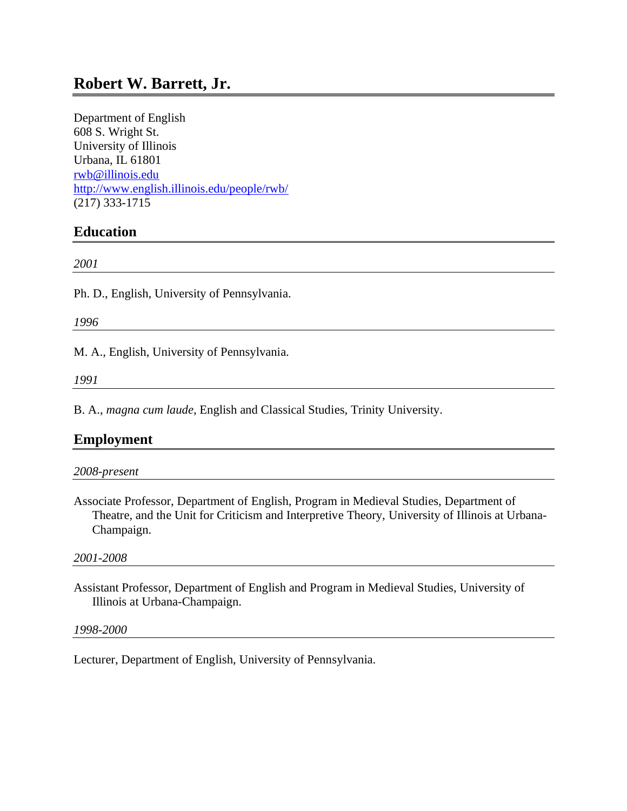# **Robert W. Barrett, Jr.**

Department of English 608 S. Wright St. University of Illinois Urbana, IL 61801 [rwb@illinois.edu](mailto:rwb@illinois.edu) <http://www.english.illinois.edu/people/rwb/> (217) 333-1715

# **Education**

*2001*

Ph. D., English, University of Pennsylvania.

*1996*

M. A., English, University of Pennsylvania.

*1991*

B. A., *magna cum laude*, English and Classical Studies, Trinity University.

# **Employment**

Associate Professor, Department of English, Program in Medieval Studies, Department of Theatre, and the Unit for Criticism and Interpretive Theory, University of Illinois at Urbana-Champaign.

#### *2001-2008*

Assistant Professor, Department of English and Program in Medieval Studies, University of Illinois at Urbana-Champaign.

#### *1998-2000*

Lecturer, Department of English, University of Pennsylvania.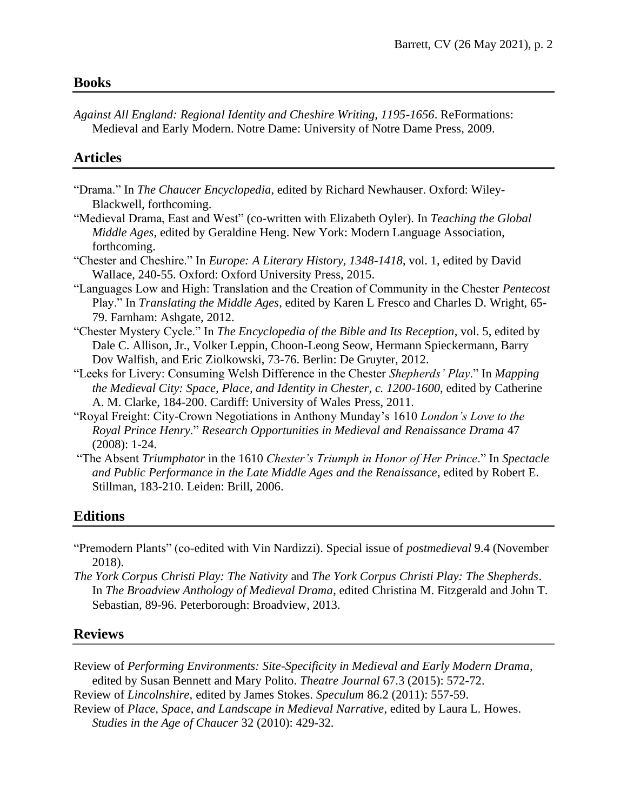*Against All England: Regional Identity and Cheshire Writing, 1195-1656*. ReFormations: Medieval and Early Modern. Notre Dame: University of Notre Dame Press, 2009.

### **Articles**

- "Drama." In *The Chaucer Encyclopedia*, edited by Richard Newhauser. Oxford: Wiley-Blackwell, forthcoming.
- "Medieval Drama, East and West" (co-written with Elizabeth Oyler). In *Teaching the Global Middle Ages*, edited by Geraldine Heng. New York: Modern Language Association, forthcoming.
- "Chester and Cheshire." In *Europe: A Literary History, 1348-1418*, vol. 1, edited by David Wallace, 240-55. Oxford: Oxford University Press, 2015.
- "Languages Low and High: Translation and the Creation of Community in the Chester *Pentecost* Play." In *Translating the Middle Ages*, edited by Karen L Fresco and Charles D. Wright, 65- 79. Farnham: Ashgate, 2012.
- "Chester Mystery Cycle." In *The Encyclopedia of the Bible and Its Reception*, vol. 5, edited by Dale C. Allison, Jr., Volker Leppin, Choon-Leong Seow, Hermann Spieckermann, Barry Dov Walfish, and Eric Ziolkowski, 73-76. Berlin: De Gruyter, 2012.
- "Leeks for Livery: Consuming Welsh Difference in the Chester *Shepherds' Play*." In *Mapping the Medieval City: Space, Place, and Identity in Chester, c. 1200-1600*, edited by Catherine A. M. Clarke, 184-200. Cardiff: University of Wales Press, 2011.
- "Royal Freight: City-Crown Negotiations in Anthony Munday's 1610 *London's Love to the Royal Prince Henry*." *Research Opportunities in Medieval and Renaissance Drama* 47 (2008): 1-24.
- "The Absent *Triumphator* in the 1610 *Chester's Triumph in Honor of Her Prince*." In *Spectacle and Public Performance in the Late Middle Ages and the Renaissance*, edited by Robert E. Stillman, 183-210. Leiden: Brill, 2006.

# **Editions**

- "Premodern Plants" (co-edited with Vin Nardizzi). Special issue of *postmedieval* 9.4 (November 2018).
- *The York Corpus Christi Play: The Nativity* and *The York Corpus Christi Play: The Shepherds*. In *The Broadview Anthology of Medieval Drama*, edited Christina M. Fitzgerald and John T. Sebastian, 89-96. Peterborough: Broadview, 2013.

### **Reviews**

Review of *Performing Environments: Site-Specificity in Medieval and Early Modern Drama*, edited by Susan Bennett and Mary Polito. *Theatre Journal* 67.3 (2015): 572-72.

Review of *Lincolnshire*, edited by James Stokes. *Speculum* 86.2 (2011): 557-59.

Review of *Place, Space, and Landscape in Medieval Narrative*, edited by Laura L. Howes. *Studies in the Age of Chaucer* 32 (2010): 429-32.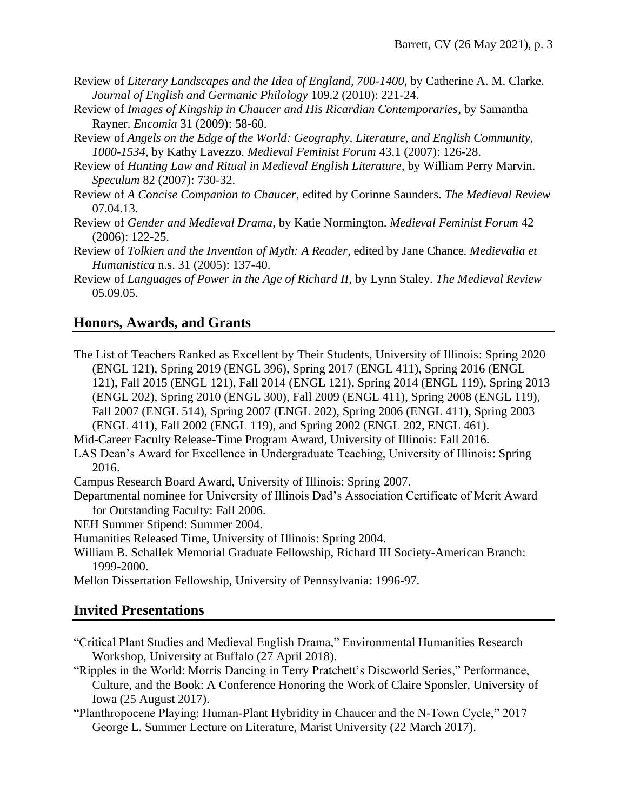- Review of *Literary Landscapes and the Idea of England, 700-1400*, by Catherine A. M. Clarke. *Journal of English and Germanic Philology* 109.2 (2010): 221-24.
- Review of *Images of Kingship in Chaucer and His Ricardian Contemporaries*, by Samantha Rayner. *Encomia* 31 (2009): 58-60.
- Review of *Angels on the Edge of the World: Geography, Literature, and English Community, 1000-1534*, by Kathy Lavezzo. *Medieval Feminist Forum* 43.1 (2007): 126-28.
- Review of *Hunting Law and Ritual in Medieval English Literature*, by William Perry Marvin. *Speculum* 82 (2007): 730-32.
- Review of *A Concise Companion to Chaucer*, edited by Corinne Saunders. *The Medieval Review* 07.04.13.
- Review of *Gender and Medieval Drama*, by Katie Normington. *Medieval Feminist Forum* 42 (2006): 122-25.
- Review of *Tolkien and the Invention of Myth: A Reader*, edited by Jane Chance. *Medievalia et Humanistica* n.s. 31 (2005): 137-40.
- Review of *Languages of Power in the Age of Richard II*, by Lynn Staley. *The Medieval Review* 05.09.05.

# **Honors, Awards, and Grants**

- The List of Teachers Ranked as Excellent by Their Students, University of Illinois: Spring 2020 (ENGL 121), Spring 2019 (ENGL 396), Spring 2017 (ENGL 411), Spring 2016 (ENGL 121), Fall 2015 (ENGL 121), Fall 2014 (ENGL 121), Spring 2014 (ENGL 119), Spring 2013 (ENGL 202), Spring 2010 (ENGL 300), Fall 2009 (ENGL 411), Spring 2008 (ENGL 119), Fall 2007 (ENGL 514), Spring 2007 (ENGL 202), Spring 2006 (ENGL 411), Spring 2003 (ENGL 411), Fall 2002 (ENGL 119), and Spring 2002 (ENGL 202, ENGL 461).
- Mid-Career Faculty Release-Time Program Award, University of Illinois: Fall 2016.
- LAS Dean's Award for Excellence in Undergraduate Teaching, University of Illinois: Spring 2016.
- Campus Research Board Award, University of Illinois: Spring 2007.
- Departmental nominee for University of Illinois Dad's Association Certificate of Merit Award for Outstanding Faculty: Fall 2006.
- NEH Summer Stipend: Summer 2004.
- Humanities Released Time, University of Illinois: Spring 2004.
- William B. Schallek Memorial Graduate Fellowship, Richard III Society-American Branch: 1999-2000.
- Mellon Dissertation Fellowship, University of Pennsylvania: 1996-97.

# **Invited Presentations**

- "Critical Plant Studies and Medieval English Drama," Environmental Humanities Research Workshop, University at Buffalo (27 April 2018).
- "Ripples in the World: Morris Dancing in Terry Pratchett's Discworld Series," Performance, Culture, and the Book: A Conference Honoring the Work of Claire Sponsler, University of Iowa (25 August 2017).
- "Planthropocene Playing: Human-Plant Hybridity in Chaucer and the N-Town Cycle," 2017 George L. Summer Lecture on Literature, Marist University (22 March 2017).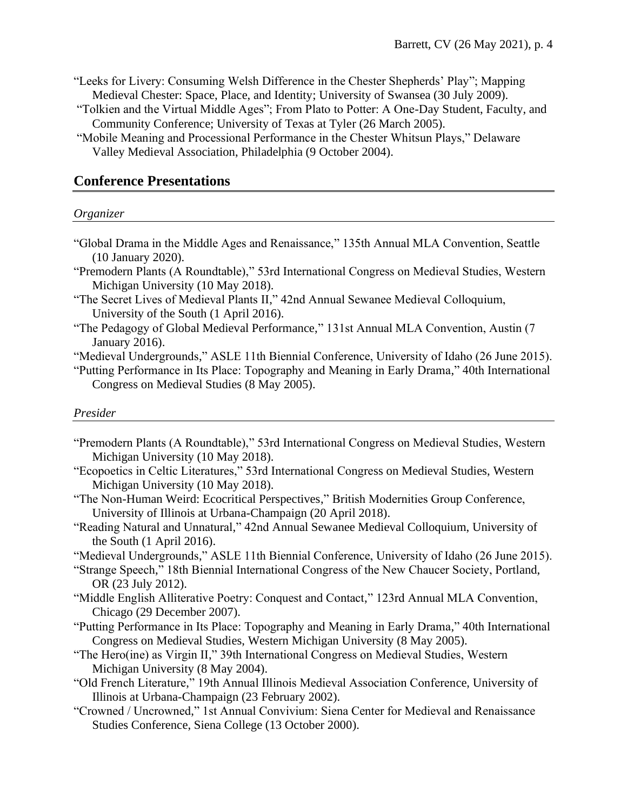- "Leeks for Livery: Consuming Welsh Difference in the Chester Shepherds' Play"; Mapping Medieval Chester: Space, Place, and Identity; University of Swansea (30 July 2009).
- "Tolkien and the Virtual Middle Ages"; From Plato to Potter: A One-Day Student, Faculty, and Community Conference; University of Texas at Tyler (26 March 2005).
- "Mobile Meaning and Processional Performance in the Chester Whitsun Plays," Delaware Valley Medieval Association, Philadelphia (9 October 2004).

### **Conference Presentations**

#### *Organizer*

- "Global Drama in the Middle Ages and Renaissance," 135th Annual MLA Convention, Seattle (10 January 2020).
- "Premodern Plants (A Roundtable)," 53rd International Congress on Medieval Studies, Western Michigan University (10 May 2018).
- "The Secret Lives of Medieval Plants II," 42nd Annual Sewanee Medieval Colloquium, University of the South (1 April 2016).
- "The Pedagogy of Global Medieval Performance," 131st Annual MLA Convention, Austin (7 January 2016).
- "Medieval Undergrounds," ASLE 11th Biennial Conference, University of Idaho (26 June 2015).
- "Putting Performance in Its Place: Topography and Meaning in Early Drama," 40th International Congress on Medieval Studies (8 May 2005).

#### *Presider*

- "Premodern Plants (A Roundtable)," 53rd International Congress on Medieval Studies, Western Michigan University (10 May 2018).
- "Ecopoetics in Celtic Literatures," 53rd International Congress on Medieval Studies, Western Michigan University (10 May 2018).
- "The Non-Human Weird: Ecocritical Perspectives," British Modernities Group Conference, University of Illinois at Urbana-Champaign (20 April 2018).
- "Reading Natural and Unnatural," 42nd Annual Sewanee Medieval Colloquium, University of the South (1 April 2016).
- "Medieval Undergrounds," ASLE 11th Biennial Conference, University of Idaho (26 June 2015).
- "Strange Speech," 18th Biennial International Congress of the New Chaucer Society, Portland, OR (23 July 2012).
- "Middle English Alliterative Poetry: Conquest and Contact," 123rd Annual MLA Convention, Chicago (29 December 2007).
- "Putting Performance in Its Place: Topography and Meaning in Early Drama," 40th International Congress on Medieval Studies, Western Michigan University (8 May 2005).
- "The Hero(ine) as Virgin II," 39th International Congress on Medieval Studies, Western Michigan University (8 May 2004).
- "Old French Literature," 19th Annual Illinois Medieval Association Conference, University of Illinois at Urbana-Champaign (23 February 2002).
- "Crowned / Uncrowned," 1st Annual Convivium: Siena Center for Medieval and Renaissance Studies Conference, Siena College (13 October 2000).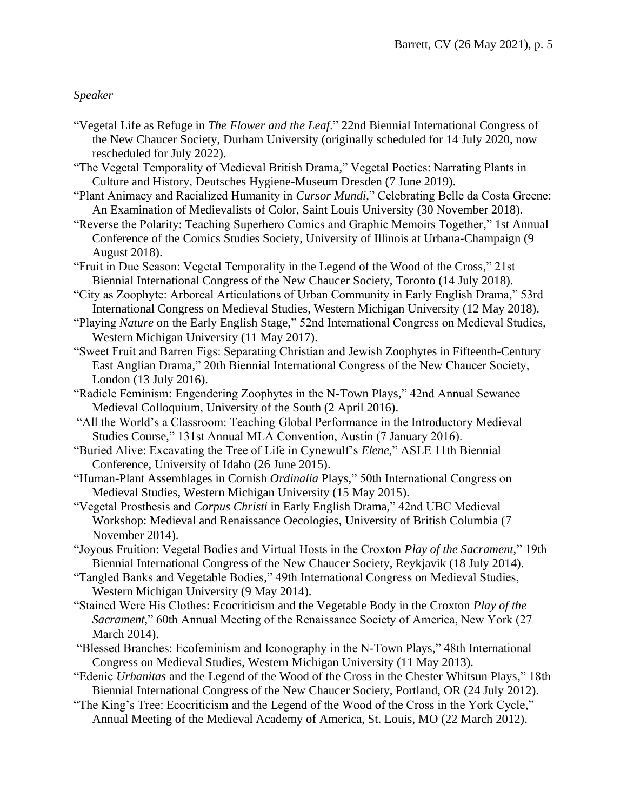#### *Speaker*

- "Vegetal Life as Refuge in *The Flower and the Leaf*." 22nd Biennial International Congress of the New Chaucer Society, Durham University (originally scheduled for 14 July 2020, now rescheduled for July 2022).
- "The Vegetal Temporality of Medieval British Drama," Vegetal Poetics: Narrating Plants in Culture and History, Deutsches Hygiene-Museum Dresden (7 June 2019).
- "Plant Animacy and Racialized Humanity in *Cursor Mundi*," Celebrating Belle da Costa Greene: An Examination of Medievalists of Color, Saint Louis University (30 November 2018).
- "Reverse the Polarity: Teaching Superhero Comics and Graphic Memoirs Together," 1st Annual Conference of the Comics Studies Society, University of Illinois at Urbana-Champaign (9 August 2018).
- "Fruit in Due Season: Vegetal Temporality in the Legend of the Wood of the Cross," 21st Biennial International Congress of the New Chaucer Society, Toronto (14 July 2018).
- "City as Zoophyte: Arboreal Articulations of Urban Community in Early English Drama," 53rd International Congress on Medieval Studies, Western Michigan University (12 May 2018).
- "Playing *Nature* on the Early English Stage," 52nd International Congress on Medieval Studies, Western Michigan University (11 May 2017).
- "Sweet Fruit and Barren Figs: Separating Christian and Jewish Zoophytes in Fifteenth-Century East Anglian Drama," 20th Biennial International Congress of the New Chaucer Society, London (13 July 2016).
- "Radicle Feminism: Engendering Zoophytes in the N-Town Plays," 42nd Annual Sewanee Medieval Colloquium, University of the South (2 April 2016).
- "All the World's a Classroom: Teaching Global Performance in the Introductory Medieval Studies Course," 131st Annual MLA Convention, Austin (7 January 2016).
- "Buried Alive: Excavating the Tree of Life in Cynewulf's *Elene*," ASLE 11th Biennial Conference, University of Idaho (26 June 2015).
- "Human-Plant Assemblages in Cornish *Ordinalia* Plays," 50th International Congress on Medieval Studies, Western Michigan University (15 May 2015).
- "Vegetal Prosthesis and *Corpus Christi* in Early English Drama," 42nd UBC Medieval Workshop: Medieval and Renaissance Oecologies, University of British Columbia (7 November 2014).
- "Joyous Fruition: Vegetal Bodies and Virtual Hosts in the Croxton *Play of the Sacrament*," 19th Biennial International Congress of the New Chaucer Society, Reykjavik (18 July 2014).
- "Tangled Banks and Vegetable Bodies," 49th International Congress on Medieval Studies, Western Michigan University (9 May 2014).
- "Stained Were His Clothes: Ecocriticism and the Vegetable Body in the Croxton *Play of the Sacrament*," 60th Annual Meeting of the Renaissance Society of America, New York (27 March 2014).
- "Blessed Branches: Ecofeminism and Iconography in the N-Town Plays," 48th International Congress on Medieval Studies, Western Michigan University (11 May 2013).
- "Edenic *Urbanitas* and the Legend of the Wood of the Cross in the Chester Whitsun Plays," 18th Biennial International Congress of the New Chaucer Society, Portland, OR (24 July 2012).
- "The King's Tree: Ecocriticism and the Legend of the Wood of the Cross in the York Cycle," Annual Meeting of the Medieval Academy of America, St. Louis, MO (22 March 2012).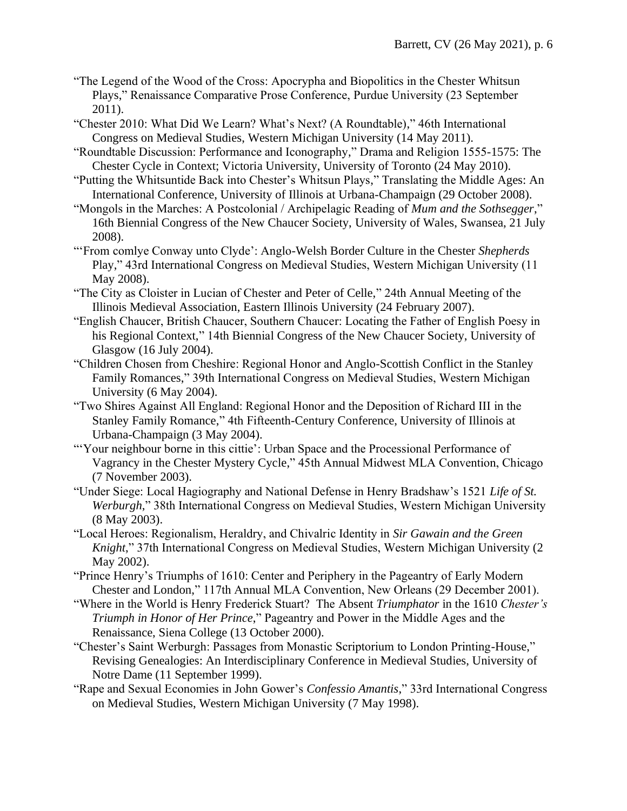- "The Legend of the Wood of the Cross: Apocrypha and Biopolitics in the Chester Whitsun Plays," Renaissance Comparative Prose Conference, Purdue University (23 September 2011).
- "Chester 2010: What Did We Learn? What's Next? (A Roundtable)," 46th International Congress on Medieval Studies, Western Michigan University (14 May 2011).
- "Roundtable Discussion: Performance and Iconography," Drama and Religion 1555-1575: The Chester Cycle in Context; Victoria University, University of Toronto (24 May 2010).
- "Putting the Whitsuntide Back into Chester's Whitsun Plays," Translating the Middle Ages: An International Conference, University of Illinois at Urbana-Champaign (29 October 2008).
- "Mongols in the Marches: A Postcolonial / Archipelagic Reading of *Mum and the Sothsegger*," 16th Biennial Congress of the New Chaucer Society, University of Wales, Swansea, 21 July 2008).
- "'From comlye Conway unto Clyde': Anglo-Welsh Border Culture in the Chester *Shepherds* Play," 43rd International Congress on Medieval Studies, Western Michigan University (11 May 2008).
- "The City as Cloister in Lucian of Chester and Peter of Celle," 24th Annual Meeting of the Illinois Medieval Association, Eastern Illinois University (24 February 2007).
- "English Chaucer, British Chaucer, Southern Chaucer: Locating the Father of English Poesy in his Regional Context," 14th Biennial Congress of the New Chaucer Society, University of Glasgow (16 July 2004).
- "Children Chosen from Cheshire: Regional Honor and Anglo-Scottish Conflict in the Stanley Family Romances," 39th International Congress on Medieval Studies, Western Michigan University (6 May 2004).
- "Two Shires Against All England: Regional Honor and the Deposition of Richard III in the Stanley Family Romance," 4th Fifteenth-Century Conference, University of Illinois at Urbana-Champaign (3 May 2004).
- "Your neighbour borne in this cittie': Urban Space and the Processional Performance of Vagrancy in the Chester Mystery Cycle," 45th Annual Midwest MLA Convention, Chicago (7 November 2003).
- "Under Siege: Local Hagiography and National Defense in Henry Bradshaw's 1521 *Life of St. Werburgh*," 38th International Congress on Medieval Studies, Western Michigan University (8 May 2003).
- "Local Heroes: Regionalism, Heraldry, and Chivalric Identity in *Sir Gawain and the Green Knight*," 37th International Congress on Medieval Studies, Western Michigan University (2 May 2002).
- "Prince Henry's Triumphs of 1610: Center and Periphery in the Pageantry of Early Modern Chester and London," 117th Annual MLA Convention, New Orleans (29 December 2001).
- "Where in the World is Henry Frederick Stuart? The Absent *Triumphator* in the 1610 *Chester's Triumph in Honor of Her Prince*," Pageantry and Power in the Middle Ages and the Renaissance, Siena College (13 October 2000).
- "Chester's Saint Werburgh: Passages from Monastic Scriptorium to London Printing-House," Revising Genealogies: An Interdisciplinary Conference in Medieval Studies, University of Notre Dame (11 September 1999).
- "Rape and Sexual Economies in John Gower's *Confessio Amantis*," 33rd International Congress on Medieval Studies, Western Michigan University (7 May 1998).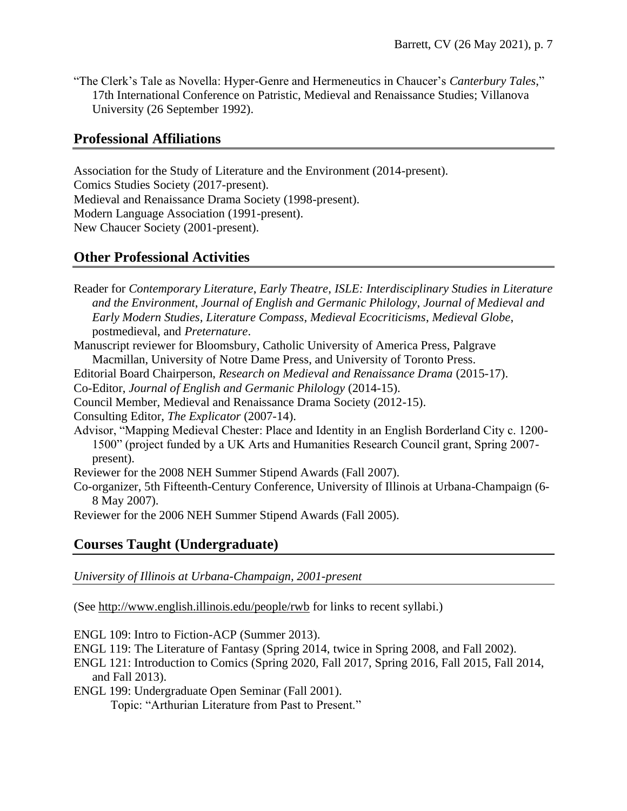"The Clerk's Tale as Novella: Hyper-Genre and Hermeneutics in Chaucer's *Canterbury Tales*," 17th International Conference on Patristic, Medieval and Renaissance Studies; Villanova University (26 September 1992).

# **Professional Affiliations**

Association for the Study of Literature and the Environment (2014-present). Comics Studies Society (2017-present). Medieval and Renaissance Drama Society (1998-present). Modern Language Association (1991-present). New Chaucer Society (2001-present).

# **Other Professional Activities**

Reader for *Contemporary Literature*, *Early Theatre*, *ISLE: Interdisciplinary Studies in Literature and the Environment*, *Journal of English and Germanic Philology*, *Journal of Medieval and Early Modern Studies, Literature Compass*, *Medieval Ecocriticisms*, *Medieval Globe*, postmedieval, and *Preternature*.

Manuscript reviewer for Bloomsbury, Catholic University of America Press, Palgrave Macmillan, University of Notre Dame Press, and University of Toronto Press.

Editorial Board Chairperson, *Research on Medieval and Renaissance Drama* (2015-17).

Co-Editor, *Journal of English and Germanic Philology* (2014-15).

Consulting Editor, *The Explicator* (2007-14).

Advisor, "Mapping Medieval Chester: Place and Identity in an English Borderland City c. 1200- 1500" (project funded by a UK Arts and Humanities Research Council grant, Spring 2007 present).

Reviewer for the 2008 NEH Summer Stipend Awards (Fall 2007).

Co-organizer, 5th Fifteenth-Century Conference, University of Illinois at Urbana-Champaign (6- 8 May 2007).

Reviewer for the 2006 NEH Summer Stipend Awards (Fall 2005).

# **Courses Taught (Undergraduate)**

*University of Illinois at Urbana-Champaign, 2001-present*

(See http://www.english.illinois.edu/people/rwb for links to recent syllabi.)

ENGL 109: Intro to Fiction-ACP (Summer 2013).

- ENGL 119: The Literature of Fantasy (Spring 2014, twice in Spring 2008, and Fall 2002).
- ENGL 121: Introduction to Comics (Spring 2020, Fall 2017, Spring 2016, Fall 2015, Fall 2014, and Fall 2013).

ENGL 199: Undergraduate Open Seminar (Fall 2001).

Topic: "Arthurian Literature from Past to Present."

Council Member, Medieval and Renaissance Drama Society (2012-15).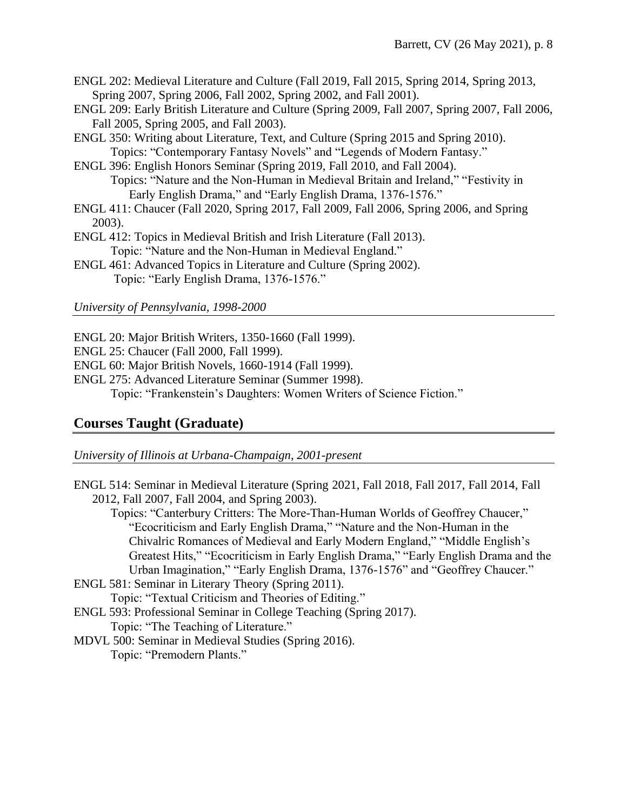- ENGL 202: Medieval Literature and Culture (Fall 2019, Fall 2015, Spring 2014, Spring 2013, Spring 2007, Spring 2006, Fall 2002, Spring 2002, and Fall 2001).
- ENGL 209: Early British Literature and Culture (Spring 2009, Fall 2007, Spring 2007, Fall 2006, Fall 2005, Spring 2005, and Fall 2003).
- ENGL 350: Writing about Literature, Text, and Culture (Spring 2015 and Spring 2010). Topics: "Contemporary Fantasy Novels" and "Legends of Modern Fantasy."
- ENGL 396: English Honors Seminar (Spring 2019, Fall 2010, and Fall 2004). Topics: "Nature and the Non-Human in Medieval Britain and Ireland," "Festivity in Early English Drama," and "Early English Drama, 1376-1576."
- ENGL 411: Chaucer (Fall 2020, Spring 2017, Fall 2009, Fall 2006, Spring 2006, and Spring 2003).
- ENGL 412: Topics in Medieval British and Irish Literature (Fall 2013). Topic: "Nature and the Non-Human in Medieval England."
- ENGL 461: Advanced Topics in Literature and Culture (Spring 2002). Topic: "Early English Drama, 1376-1576."

### *University of Pennsylvania, 1998-2000*

- ENGL 20: Major British Writers, 1350-1660 (Fall 1999).
- ENGL 25: Chaucer (Fall 2000, Fall 1999).
- ENGL 60: Major British Novels, 1660-1914 (Fall 1999).
- ENGL 275: Advanced Literature Seminar (Summer 1998).

Topic: "Frankenstein's Daughters: Women Writers of Science Fiction."

# **Courses Taught (Graduate)**

*University of Illinois at Urbana-Champaign, 2001-present*

- ENGL 514: Seminar in Medieval Literature (Spring 2021, Fall 2018, Fall 2017, Fall 2014, Fall 2012, Fall 2007, Fall 2004, and Spring 2003).
	- Topics: "Canterbury Critters: The More-Than-Human Worlds of Geoffrey Chaucer," "Ecocriticism and Early English Drama," "Nature and the Non-Human in the Chivalric Romances of Medieval and Early Modern England," "Middle English's Greatest Hits," "Ecocriticism in Early English Drama," "Early English Drama and the Urban Imagination," "Early English Drama, 1376-1576" and "Geoffrey Chaucer."
- ENGL 581: Seminar in Literary Theory (Spring 2011).

Topic: "Textual Criticism and Theories of Editing."

ENGL 593: Professional Seminar in College Teaching (Spring 2017).

Topic: "The Teaching of Literature."

MDVL 500: Seminar in Medieval Studies (Spring 2016).

Topic: "Premodern Plants."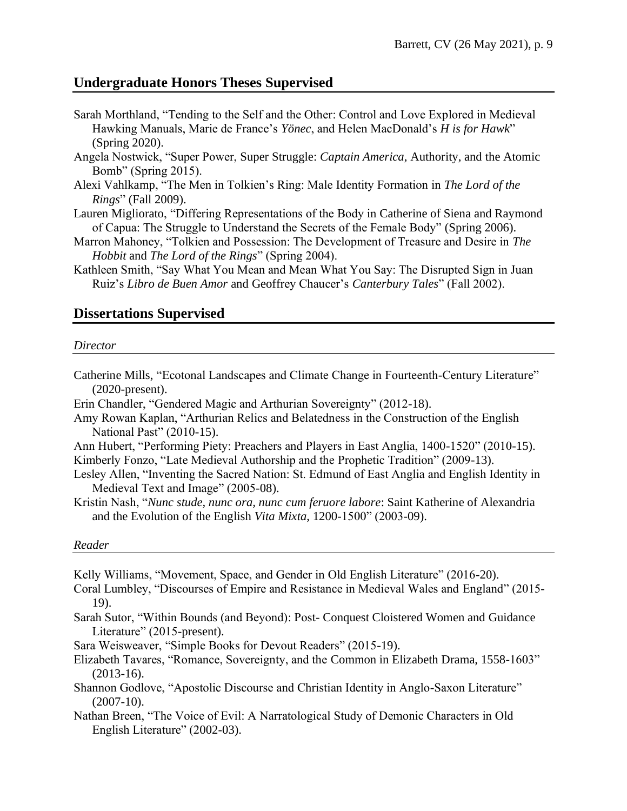### **Undergraduate Honors Theses Supervised**

- Sarah Morthland, "Tending to the Self and the Other: Control and Love Explored in Medieval Hawking Manuals, Marie de France's *Yönec*, and Helen MacDonald's *H is for Hawk*" (Spring 2020).
- Angela Nostwick, "Super Power, Super Struggle: *Captain America*, Authority, and the Atomic Bomb" (Spring 2015).
- Alexi Vahlkamp, "The Men in Tolkien's Ring: Male Identity Formation in *The Lord of the Rings*" (Fall 2009).
- Lauren Migliorato, "Differing Representations of the Body in Catherine of Siena and Raymond of Capua: The Struggle to Understand the Secrets of the Female Body" (Spring 2006).
- Marron Mahoney, "Tolkien and Possession: The Development of Treasure and Desire in *The Hobbit* and *The Lord of the Rings*" (Spring 2004).
- Kathleen Smith, "Say What You Mean and Mean What You Say: The Disrupted Sign in Juan Ruiz's *Libro de Buen Amor* and Geoffrey Chaucer's *Canterbury Tales*" (Fall 2002).

### **Dissertations Supervised**

#### *Director*

- Catherine Mills, "Ecotonal Landscapes and Climate Change in Fourteenth-Century Literature" (2020-present).
- Erin Chandler, "Gendered Magic and Arthurian Sovereignty" (2012-18).
- Amy Rowan Kaplan, "Arthurian Relics and Belatedness in the Construction of the English National Past" (2010-15).
- Ann Hubert, "Performing Piety: Preachers and Players in East Anglia, 1400-1520" (2010-15). Kimberly Fonzo, "Late Medieval Authorship and the Prophetic Tradition" (2009-13).
- Lesley Allen, "Inventing the Sacred Nation: St. Edmund of East Anglia and English Identity in Medieval Text and Image" (2005-08).

Kristin Nash, "*Nunc stude, nunc ora, nunc cum feruore labore*: Saint Katherine of Alexandria and the Evolution of the English *Vita Mixta*, 1200-1500" (2003-09).

#### *Reader*

Kelly Williams, "Movement, Space, and Gender in Old English Literature" (2016-20).

- Coral Lumbley, "Discourses of Empire and Resistance in Medieval Wales and England" (2015- 19).
- Sarah Sutor, "Within Bounds (and Beyond): Post- Conquest Cloistered Women and Guidance Literature" (2015-present).
- Sara Weisweaver, "Simple Books for Devout Readers" (2015-19).
- Elizabeth Tavares, "Romance, Sovereignty, and the Common in Elizabeth Drama, 1558-1603" (2013-16).
- Shannon Godlove, "Apostolic Discourse and Christian Identity in Anglo-Saxon Literature"  $(2007-10)$ .
- Nathan Breen, "The Voice of Evil: A Narratological Study of Demonic Characters in Old English Literature" (2002-03).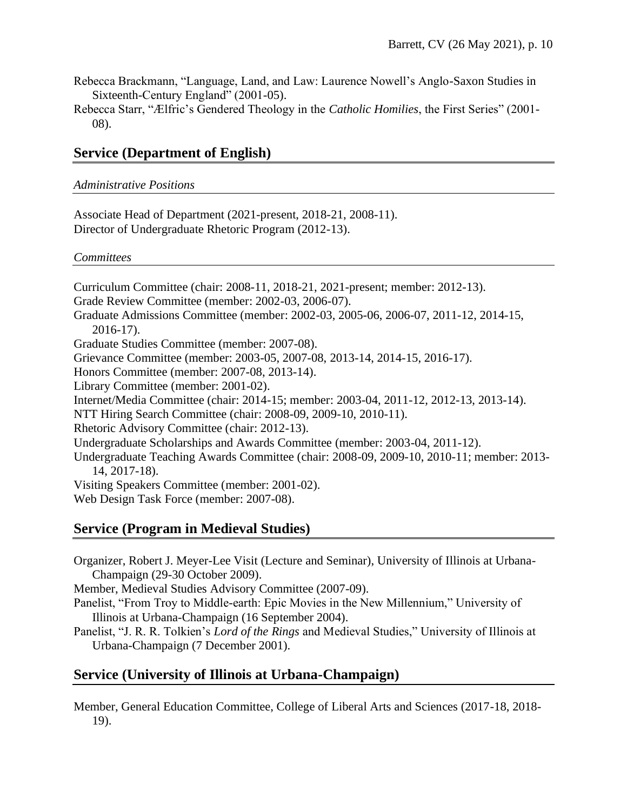- Rebecca Brackmann, "Language, Land, and Law: Laurence Nowell's Anglo-Saxon Studies in Sixteenth-Century England" (2001-05).
- Rebecca Starr, "Ælfric's Gendered Theology in the *Catholic Homilies*, the First Series" (2001- 08).

# **Service (Department of English)**

#### *Administrative Positions*

Associate Head of Department (2021-present, 2018-21, 2008-11). Director of Undergraduate Rhetoric Program (2012-13).

#### *Committees*

Curriculum Committee (chair: 2008-11, 2018-21, 2021-present; member: 2012-13). Grade Review Committee (member: 2002-03, 2006-07). Graduate Admissions Committee (member: 2002-03, 2005-06, 2006-07, 2011-12, 2014-15, 2016-17). Graduate Studies Committee (member: 2007-08). Grievance Committee (member: 2003-05, 2007-08, 2013-14, 2014-15, 2016-17). Honors Committee (member: 2007-08, 2013-14). Library Committee (member: 2001-02). Internet/Media Committee (chair: 2014-15; member: 2003-04, 2011-12, 2012-13, 2013-14). NTT Hiring Search Committee (chair: 2008-09, 2009-10, 2010-11). Rhetoric Advisory Committee (chair: 2012-13). Undergraduate Scholarships and Awards Committee (member: 2003-04, 2011-12). Undergraduate Teaching Awards Committee (chair: 2008-09, 2009-10, 2010-11; member: 2013- 14, 2017-18). Visiting Speakers Committee (member: 2001-02). Web Design Task Force (member: 2007-08).

### **Service (Program in Medieval Studies)**

Organizer, Robert J. Meyer-Lee Visit (Lecture and Seminar), University of Illinois at Urbana-Champaign (29-30 October 2009).

Member, Medieval Studies Advisory Committee (2007-09).

- Panelist, "From Troy to Middle-earth: Epic Movies in the New Millennium," University of Illinois at Urbana-Champaign (16 September 2004).
- Panelist, "J. R. R. Tolkien's *Lord of the Rings* and Medieval Studies," University of Illinois at Urbana-Champaign (7 December 2001).

# **Service (University of Illinois at Urbana-Champaign)**

Member, General Education Committee, College of Liberal Arts and Sciences (2017-18, 2018- 19).